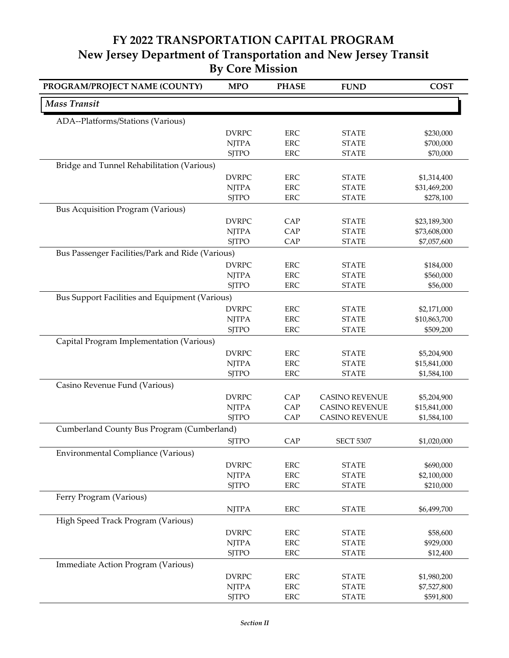## **FY 2022 TRANSPORTATION CAPITAL PROGRAM New Jersey Department of Transportation and New Jersey Transit By Core Mission**

| PROGRAM/PROJECT NAME (COUNTY)                    | <b>MPO</b>   | <b>PHASE</b> | <b>FUND</b>           | <b>COST</b>  |
|--------------------------------------------------|--------------|--------------|-----------------------|--------------|
| <b>Mass Transit</b>                              |              |              |                       |              |
| ADA--Platforms/Stations (Various)                |              |              |                       |              |
|                                                  | <b>DVRPC</b> | ${\rm ERC}$  | <b>STATE</b>          | \$230,000    |
|                                                  | <b>NJTPA</b> | <b>ERC</b>   | <b>STATE</b>          | \$700,000    |
|                                                  | <b>SJTPO</b> | <b>ERC</b>   | <b>STATE</b>          | \$70,000     |
| Bridge and Tunnel Rehabilitation (Various)       |              |              |                       |              |
|                                                  | <b>DVRPC</b> | ERC          | <b>STATE</b>          | \$1,314,400  |
|                                                  | <b>NJTPA</b> | <b>ERC</b>   | <b>STATE</b>          | \$31,469,200 |
|                                                  | <b>SJTPO</b> | ERC          | <b>STATE</b>          | \$278,100    |
| <b>Bus Acquisition Program (Various)</b>         |              |              |                       |              |
|                                                  | <b>DVRPC</b> | CAP          | <b>STATE</b>          | \$23,189,300 |
|                                                  | <b>NJTPA</b> | CAP          | <b>STATE</b>          | \$73,608,000 |
|                                                  | <b>SJTPO</b> | CAP          | <b>STATE</b>          | \$7,057,600  |
| Bus Passenger Facilities/Park and Ride (Various) |              |              |                       |              |
|                                                  | <b>DVRPC</b> | <b>ERC</b>   | <b>STATE</b>          | \$184,000    |
|                                                  | <b>NJTPA</b> | <b>ERC</b>   | <b>STATE</b>          | \$560,000    |
|                                                  | <b>SJTPO</b> | <b>ERC</b>   | <b>STATE</b>          | \$56,000     |
| Bus Support Facilities and Equipment (Various)   |              |              |                       |              |
|                                                  | <b>DVRPC</b> | <b>ERC</b>   | <b>STATE</b>          | \$2,171,000  |
|                                                  | <b>NJTPA</b> | <b>ERC</b>   | <b>STATE</b>          | \$10,863,700 |
|                                                  | <b>SJTPO</b> | <b>ERC</b>   | <b>STATE</b>          | \$509,200    |
| Capital Program Implementation (Various)         |              |              |                       |              |
|                                                  | <b>DVRPC</b> | <b>ERC</b>   | <b>STATE</b>          | \$5,204,900  |
|                                                  | <b>NJTPA</b> | <b>ERC</b>   | <b>STATE</b>          | \$15,841,000 |
|                                                  | <b>SJTPO</b> | <b>ERC</b>   | <b>STATE</b>          | \$1,584,100  |
| Casino Revenue Fund (Various)                    |              |              |                       |              |
|                                                  | <b>DVRPC</b> | CAP          | <b>CASINO REVENUE</b> | \$5,204,900  |
|                                                  | <b>NJTPA</b> | CAP          | <b>CASINO REVENUE</b> | \$15,841,000 |
|                                                  | <b>SJTPO</b> | CAP          | <b>CASINO REVENUE</b> | \$1,584,100  |
| Cumberland County Bus Program (Cumberland)       |              |              |                       |              |
|                                                  | <b>SITPO</b> | CAP          | <b>SECT 5307</b>      | \$1,020,000  |
| Environmental Compliance (Various)               |              |              |                       |              |
|                                                  | <b>DVRPC</b> | <b>ERC</b>   | <b>STATE</b>          | \$690,000    |
|                                                  | <b>NJTPA</b> | <b>ERC</b>   | <b>STATE</b>          | \$2,100,000  |
|                                                  | <b>SJTPO</b> | ERC          | <b>STATE</b>          | \$210,000    |
| Ferry Program (Various)                          |              |              |                       |              |
|                                                  | <b>NJTPA</b> | <b>ERC</b>   | <b>STATE</b>          | \$6,499,700  |
|                                                  |              |              |                       |              |
| High Speed Track Program (Various)               |              |              |                       |              |
|                                                  | <b>DVRPC</b> | ERC          | <b>STATE</b>          | \$58,600     |
|                                                  | <b>NJTPA</b> | <b>ERC</b>   | <b>STATE</b>          | \$929,000    |
|                                                  | <b>SJTPO</b> | <b>ERC</b>   | <b>STATE</b>          | \$12,400     |
| Immediate Action Program (Various)               |              |              |                       |              |
|                                                  | <b>DVRPC</b> | ERC          | <b>STATE</b>          | \$1,980,200  |
|                                                  | <b>NJTPA</b> | ${\rm ERC}$  | <b>STATE</b>          | \$7,527,800  |
|                                                  | <b>SJTPO</b> | ${\rm ERC}$  | <b>STATE</b>          | \$591,800    |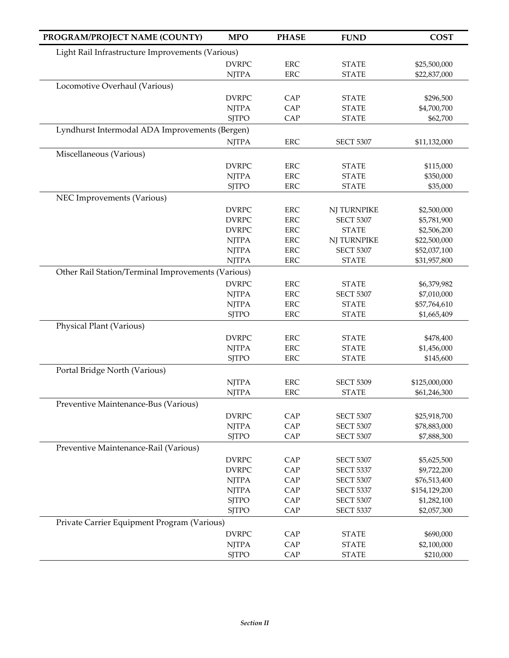| PROGRAM/PROJECT NAME (COUNTY)                      | <b>MPO</b>                                       | <b>PHASE</b>             | <b>FUND</b>                      | <b>COST</b>                 |  |
|----------------------------------------------------|--------------------------------------------------|--------------------------|----------------------------------|-----------------------------|--|
|                                                    | Light Rail Infrastructure Improvements (Various) |                          |                                  |                             |  |
|                                                    | <b>DVRPC</b>                                     | ERC                      | <b>STATE</b>                     | \$25,500,000                |  |
|                                                    | <b>NJTPA</b>                                     | <b>ERC</b>               | <b>STATE</b>                     | \$22,837,000                |  |
| Locomotive Overhaul (Various)                      |                                                  |                          |                                  |                             |  |
|                                                    | <b>DVRPC</b>                                     | CAP                      | <b>STATE</b>                     | \$296,500                   |  |
|                                                    | <b>NJTPA</b>                                     | CAP                      | <b>STATE</b>                     | \$4,700,700                 |  |
|                                                    | <b>SJTPO</b>                                     | CAP                      | <b>STATE</b>                     | \$62,700                    |  |
| Lyndhurst Intermodal ADA Improvements (Bergen)     |                                                  |                          |                                  |                             |  |
|                                                    | <b>NJTPA</b>                                     | <b>ERC</b>               | <b>SECT 5307</b>                 | \$11,132,000                |  |
| Miscellaneous (Various)                            |                                                  |                          |                                  |                             |  |
|                                                    |                                                  |                          |                                  |                             |  |
|                                                    | <b>DVRPC</b><br><b>NJTPA</b>                     | <b>ERC</b><br>ERC        | <b>STATE</b><br><b>STATE</b>     | \$115,000<br>\$350,000      |  |
|                                                    | <b>SJTPO</b>                                     | <b>ERC</b>               | <b>STATE</b>                     | \$35,000                    |  |
|                                                    |                                                  |                          |                                  |                             |  |
| NEC Improvements (Various)                         |                                                  |                          |                                  |                             |  |
|                                                    | <b>DVRPC</b>                                     | ERC                      | NJ TURNPIKE                      | \$2,500,000                 |  |
|                                                    | <b>DVRPC</b>                                     | <b>ERC</b>               | <b>SECT 5307</b>                 | \$5,781,900                 |  |
|                                                    | <b>DVRPC</b><br><b>NJTPA</b>                     | ERC<br>ERC               | <b>STATE</b><br>NJ TURNPIKE      | \$2,506,200<br>\$22,500,000 |  |
|                                                    | <b>NJTPA</b>                                     | <b>ERC</b>               | <b>SECT 5307</b>                 | \$52,037,100                |  |
|                                                    | <b>NJTPA</b>                                     | <b>ERC</b>               | <b>STATE</b>                     | \$31,957,800                |  |
| Other Rail Station/Terminal Improvements (Various) |                                                  |                          |                                  |                             |  |
|                                                    |                                                  |                          |                                  |                             |  |
|                                                    | <b>DVRPC</b><br><b>NJTPA</b>                     | <b>ERC</b><br><b>ERC</b> | <b>STATE</b><br><b>SECT 5307</b> | \$6,379,982<br>\$7,010,000  |  |
|                                                    | <b>NJTPA</b>                                     | ERC                      | <b>STATE</b>                     | \$57,764,610                |  |
|                                                    | <b>SJTPO</b>                                     | ERC                      | <b>STATE</b>                     | \$1,665,409                 |  |
| Physical Plant (Various)                           |                                                  |                          |                                  |                             |  |
|                                                    |                                                  |                          |                                  |                             |  |
|                                                    | <b>DVRPC</b><br><b>NJTPA</b>                     | <b>ERC</b><br><b>ERC</b> | <b>STATE</b><br><b>STATE</b>     | \$478,400<br>\$1,456,000    |  |
|                                                    | <b>SJTPO</b>                                     | <b>ERC</b>               | <b>STATE</b>                     | \$145,600                   |  |
|                                                    |                                                  |                          |                                  |                             |  |
| Portal Bridge North (Various)                      |                                                  |                          |                                  |                             |  |
|                                                    | <b>NJTPA</b>                                     | <b>ERC</b>               | <b>SECT 5309</b>                 | \$125,000,000               |  |
|                                                    | <b>NJTPA</b>                                     | <b>ERC</b>               | <b>STATE</b>                     | \$61,246,300                |  |
| Preventive Maintenance-Bus (Various)               |                                                  |                          |                                  |                             |  |
|                                                    | <b>DVRPC</b>                                     | CAP                      | <b>SECT 5307</b>                 | \$25,918,700                |  |
|                                                    | <b>NJTPA</b>                                     | CAP                      | <b>SECT 5307</b>                 | \$78,883,000                |  |
|                                                    | <b>SJTPO</b>                                     | CAP                      | <b>SECT 5307</b>                 | \$7,888,300                 |  |
| Preventive Maintenance-Rail (Various)              |                                                  |                          |                                  |                             |  |
|                                                    | <b>DVRPC</b>                                     | CAP                      | <b>SECT 5307</b>                 | \$5,625,500                 |  |
|                                                    | <b>DVRPC</b>                                     | CAP                      | <b>SECT 5337</b>                 | \$9,722,200                 |  |
|                                                    | <b>NJTPA</b>                                     | CAP                      | <b>SECT 5307</b>                 | \$76,513,400                |  |
|                                                    | <b>NJTPA</b>                                     | CAP                      | <b>SECT 5337</b>                 | \$154,129,200               |  |
|                                                    | <b>SJTPO</b>                                     | CAP                      | <b>SECT 5307</b>                 | \$1,282,100                 |  |
|                                                    | <b>SJTPO</b>                                     | CAP                      | <b>SECT 5337</b>                 | \$2,057,300                 |  |
| Private Carrier Equipment Program (Various)        |                                                  |                          |                                  |                             |  |
|                                                    | <b>DVRPC</b>                                     | CAP                      | <b>STATE</b>                     | \$690,000                   |  |
|                                                    | <b>NJTPA</b>                                     | CAP                      | <b>STATE</b>                     | \$2,100,000                 |  |
|                                                    | <b>SJTPO</b>                                     | CAP                      | <b>STATE</b>                     | \$210,000                   |  |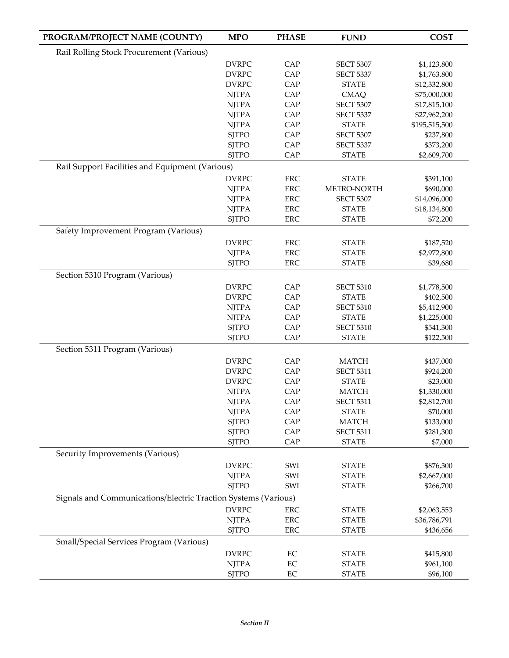| PROGRAM/PROJECT NAME (COUNTY)                                  | <b>MPO</b>                   | <b>PHASE</b> | <b>FUND</b>                      | <b>COST</b>             |
|----------------------------------------------------------------|------------------------------|--------------|----------------------------------|-------------------------|
| Rail Rolling Stock Procurement (Various)                       |                              |              |                                  |                         |
|                                                                | <b>DVRPC</b>                 | CAP          | <b>SECT 5307</b>                 | \$1,123,800             |
|                                                                | <b>DVRPC</b>                 | CAP          | <b>SECT 5337</b>                 | \$1,763,800             |
|                                                                | <b>DVRPC</b>                 | CAP          | <b>STATE</b>                     | \$12,332,800            |
|                                                                | <b>NJTPA</b>                 | CAP          | <b>CMAQ</b>                      | \$75,000,000            |
|                                                                | <b>NJTPA</b>                 | CAP          | <b>SECT 5307</b>                 | \$17,815,100            |
|                                                                | <b>NJTPA</b>                 | CAP          | <b>SECT 5337</b>                 | \$27,962,200            |
|                                                                | <b>NJTPA</b>                 | CAP          | <b>STATE</b>                     | \$195,515,500           |
|                                                                | <b>SJTPO</b>                 | CAP          | <b>SECT 5307</b>                 | \$237,800               |
|                                                                | <b>SJTPO</b>                 | CAP          | <b>SECT 5337</b>                 | \$373,200               |
|                                                                | <b>SJTPO</b>                 | CAP          | <b>STATE</b>                     | \$2,609,700             |
| Rail Support Facilities and Equipment (Various)                |                              |              |                                  |                         |
|                                                                | <b>DVRPC</b>                 | <b>ERC</b>   | <b>STATE</b>                     | \$391,100               |
|                                                                | <b>NJTPA</b>                 | <b>ERC</b>   | METRO-NORTH                      | \$690,000               |
|                                                                | <b>NJTPA</b>                 | <b>ERC</b>   | <b>SECT 5307</b>                 | \$14,096,000            |
|                                                                | <b>NJTPA</b>                 | <b>ERC</b>   | <b>STATE</b>                     | \$18,134,800            |
|                                                                | <b>SJTPO</b>                 | <b>ERC</b>   | <b>STATE</b>                     | \$72,200                |
| Safety Improvement Program (Various)                           |                              |              |                                  |                         |
|                                                                | <b>DVRPC</b>                 | <b>ERC</b>   | <b>STATE</b>                     | \$187,520               |
|                                                                | <b>NJTPA</b>                 | ERC          | <b>STATE</b>                     | \$2,972,800             |
|                                                                | <b>SJTPO</b>                 | ERC          | <b>STATE</b>                     | \$39,680                |
| Section 5310 Program (Various)                                 |                              |              |                                  |                         |
|                                                                | <b>DVRPC</b>                 | CAP          | <b>SECT 5310</b>                 | \$1,778,500             |
|                                                                | <b>DVRPC</b>                 | CAP          | <b>STATE</b>                     | \$402,500               |
|                                                                | <b>NJTPA</b>                 | CAP          | <b>SECT 5310</b>                 | \$5,412,900             |
|                                                                | <b>NJTPA</b>                 | CAP          | <b>STATE</b>                     | \$1,225,000             |
|                                                                | <b>SJTPO</b><br><b>SJTPO</b> | CAP<br>CAP   | <b>SECT 5310</b>                 | \$541,300               |
|                                                                |                              |              | <b>STATE</b>                     | \$122,500               |
| Section 5311 Program (Various)                                 |                              |              |                                  |                         |
|                                                                | <b>DVRPC</b>                 | CAP          | <b>MATCH</b>                     | \$437,000               |
|                                                                | <b>DVRPC</b>                 | CAP          | <b>SECT 5311</b><br><b>STATE</b> | \$924,200               |
|                                                                | <b>DVRPC</b><br><b>NJTPA</b> | CAP<br>CAP   | <b>MATCH</b>                     | \$23,000<br>\$1,330,000 |
|                                                                | <b>NJTPA</b>                 | CAP          | <b>SECT 5311</b>                 | \$2,812,700             |
|                                                                | <b>NJTPA</b>                 | CAP          | <b>STATE</b>                     | \$70,000                |
|                                                                | <b>SJTPO</b>                 | CAP          | <b>MATCH</b>                     | \$133,000               |
|                                                                | <b>SJTPO</b>                 | CAP          | <b>SECT 5311</b>                 | \$281,300               |
|                                                                | <b>SJTPO</b>                 | CAP          | <b>STATE</b>                     | \$7,000                 |
| Security Improvements (Various)                                |                              |              |                                  |                         |
|                                                                | <b>DVRPC</b>                 | SWI          | <b>STATE</b>                     | \$876,300               |
|                                                                | <b>NJTPA</b>                 | SWI          | <b>STATE</b>                     | \$2,667,000             |
|                                                                | <b>SJTPO</b>                 | SWI          | <b>STATE</b>                     | \$266,700               |
| Signals and Communications/Electric Traction Systems (Various) |                              |              |                                  |                         |
|                                                                | <b>DVRPC</b>                 | <b>ERC</b>   | <b>STATE</b>                     | \$2,063,553             |
|                                                                | <b>NJTPA</b>                 | ERC          | <b>STATE</b>                     | \$36,786,791            |
|                                                                | <b>SJTPO</b>                 | <b>ERC</b>   | <b>STATE</b>                     | \$436,656               |
| Small/Special Services Program (Various)                       |                              |              |                                  |                         |
|                                                                | <b>DVRPC</b>                 | EC           | <b>STATE</b>                     | \$415,800               |
|                                                                | <b>NJTPA</b>                 | EC           | <b>STATE</b>                     | \$961,100               |
|                                                                | <b>SJTPO</b>                 | EC           | <b>STATE</b>                     | \$96,100                |